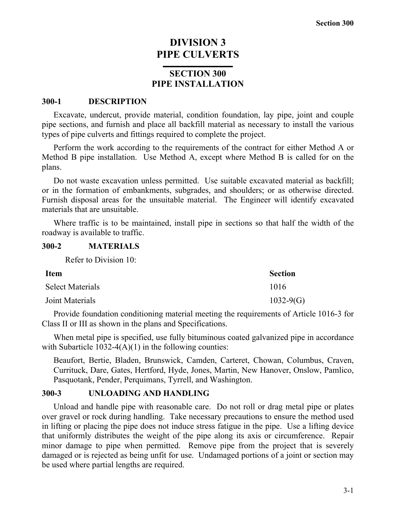# **DIVISION 3 PIPE CULVERTS**

## **SECTION 300 PIPE INSTALLATION**

#### **300-1 DESCRIPTION**

Excavate, undercut, provide material, condition foundation, lay pipe, joint and couple pipe sections, and furnish and place all backfill material as necessary to install the various types of pipe culverts and fittings required to complete the project.

Perform the work according to the requirements of the contract for either Method A or Method B pipe installation. Use Method A, except where Method B is called for on the plans.

Do not waste excavation unless permitted. Use suitable excavated material as backfill; or in the formation of embankments, subgrades, and shoulders; or as otherwise directed. Furnish disposal areas for the unsuitable material. The Engineer will identify excavated materials that are unsuitable.

Where traffic is to be maintained, install pipe in sections so that half the width of the roadway is available to traffic.

#### **300-2 MATERIALS**

Refer to Division 10:

| <b>Item</b>             | <b>Section</b> |
|-------------------------|----------------|
| <b>Select Materials</b> | 1016           |
| Joint Materials         | $1032-9(G)$    |

Provide foundation conditioning material meeting the requirements of Article 1016-3 for Class II or III as shown in the plans and Specifications.

When metal pipe is specified, use fully bituminous coated galvanized pipe in accordance with Subarticle  $1032-4(A)(1)$  in the following counties:

Beaufort, Bertie, Bladen, Brunswick, Camden, Carteret, Chowan, Columbus, Craven, Currituck, Dare, Gates, Hertford, Hyde, Jones, Martin, New Hanover, Onslow, Pamlico, Pasquotank, Pender, Perquimans, Tyrrell, and Washington.

### **300-3 UNLOADING AND HANDLING**

Unload and handle pipe with reasonable care. Do not roll or drag metal pipe or plates over gravel or rock during handling. Take necessary precautions to ensure the method used in lifting or placing the pipe does not induce stress fatigue in the pipe. Use a lifting device that uniformly distributes the weight of the pipe along its axis or circumference. Repair minor damage to pipe when permitted. Remove pipe from the project that is severely damaged or is rejected as being unfit for use. Undamaged portions of a joint or section may be used where partial lengths are required.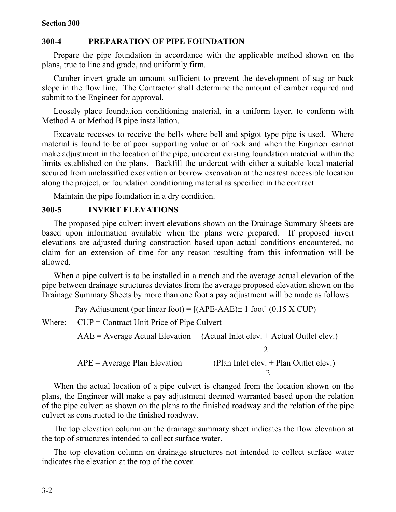#### **300-4 PREPARATION OF PIPE FOUNDATION**

Prepare the pipe foundation in accordance with the applicable method shown on the plans, true to line and grade, and uniformly firm.

Camber invert grade an amount sufficient to prevent the development of sag or back slope in the flow line. The Contractor shall determine the amount of camber required and submit to the Engineer for approval.

Loosely place foundation conditioning material, in a uniform layer, to conform with Method A or Method B pipe installation.

Excavate recesses to receive the bells where bell and spigot type pipe is used. Where material is found to be of poor supporting value or of rock and when the Engineer cannot make adjustment in the location of the pipe, undercut existing foundation material within the limits established on the plans. Backfill the undercut with either a suitable local material secured from unclassified excavation or borrow excavation at the nearest accessible location along the project, or foundation conditioning material as specified in the contract.

Maintain the pipe foundation in a dry condition.

#### **300-5 INVERT ELEVATIONS**

The proposed pipe culvert invert elevations shown on the Drainage Summary Sheets are based upon information available when the plans were prepared. If proposed invert elevations are adjusted during construction based upon actual conditions encountered, no claim for an extension of time for any reason resulting from this information will be allowed.

When a pipe culvert is to be installed in a trench and the average actual elevation of the pipe between drainage structures deviates from the average proposed elevation shown on the Drainage Summary Sheets by more than one foot a pay adjustment will be made as follows:

Pay Adjustment (per linear foot) =  $[(APE-AAE)\pm 1$  foot] (0.15 X CUP)

Where:  $CUP =$  Contract Unit Price of Pipe Culvert

$$
AAE = Average Actual Elevation
$$
 (Actual Intel elev. + Actual Outlet elev.)  
2  
APE = Average Plan Elevation (Plan Inlet elev. + Plan Outlet elev.)  
2

When the actual location of a pipe culvert is changed from the location shown on the plans, the Engineer will make a pay adjustment deemed warranted based upon the relation of the pipe culvert as shown on the plans to the finished roadway and the relation of the pipe culvert as constructed to the finished roadway.

The top elevation column on the drainage summary sheet indicates the flow elevation at the top of structures intended to collect surface water.

The top elevation column on drainage structures not intended to collect surface water indicates the elevation at the top of the cover.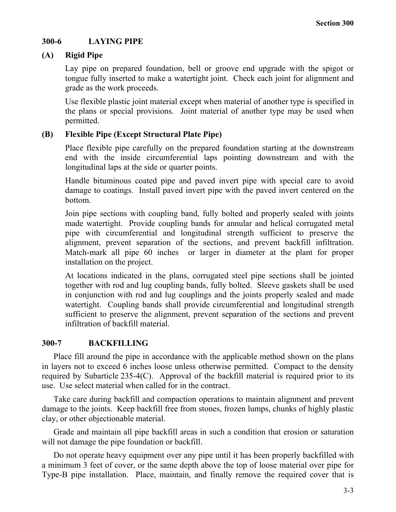### **300-6 LAYING PIPE**

## **(A) Rigid Pipe**

Lay pipe on prepared foundation, bell or groove end upgrade with the spigot or tongue fully inserted to make a watertight joint. Check each joint for alignment and grade as the work proceeds.

Use flexible plastic joint material except when material of another type is specified in the plans or special provisions. Joint material of another type may be used when permitted.

## **(B) Flexible Pipe (Except Structural Plate Pipe)**

Place flexible pipe carefully on the prepared foundation starting at the downstream end with the inside circumferential laps pointing downstream and with the longitudinal laps at the side or quarter points.

Handle bituminous coated pipe and paved invert pipe with special care to avoid damage to coatings. Install paved invert pipe with the paved invert centered on the bottom.

Join pipe sections with coupling band, fully bolted and properly sealed with joints made watertight. Provide coupling bands for annular and helical corrugated metal pipe with circumferential and longitudinal strength sufficient to preserve the alignment, prevent separation of the sections, and prevent backfill infiltration. Match-mark all pipe 60 inches or larger in diameter at the plant for proper installation on the project.

At locations indicated in the plans, corrugated steel pipe sections shall be jointed together with rod and lug coupling bands, fully bolted. Sleeve gaskets shall be used in conjunction with rod and lug couplings and the joints properly sealed and made watertight. Coupling bands shall provide circumferential and longitudinal strength sufficient to preserve the alignment, prevent separation of the sections and prevent infiltration of backfill material.

### **300-7 BACKFILLING**

Place fill around the pipe in accordance with the applicable method shown on the plans in layers not to exceed 6 inches loose unless otherwise permitted. Compact to the density required by Subarticle 235-4(C). Approval of the backfill material is required prior to its use. Use select material when called for in the contract.

Take care during backfill and compaction operations to maintain alignment and prevent damage to the joints. Keep backfill free from stones, frozen lumps, chunks of highly plastic clay, or other objectionable material.

Grade and maintain all pipe backfill areas in such a condition that erosion or saturation will not damage the pipe foundation or backfill.

Do not operate heavy equipment over any pipe until it has been properly backfilled with a minimum 3 feet of cover, or the same depth above the top of loose material over pipe for Type-B pipe installation. Place, maintain, and finally remove the required cover that is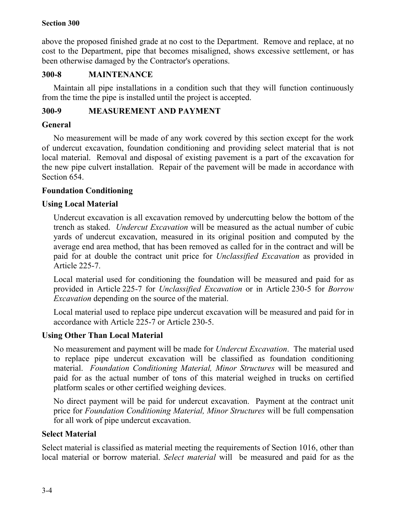above the proposed finished grade at no cost to the Department. Remove and replace, at no cost to the Department, pipe that becomes misaligned, shows excessive settlement, or has been otherwise damaged by the Contractor's operations.

### **300-8 MAINTENANCE**

Maintain all pipe installations in a condition such that they will function continuously from the time the pipe is installed until the project is accepted.

## **300-9 MEASUREMENT AND PAYMENT**

### **General**

No measurement will be made of any work covered by this section except for the work of undercut excavation, foundation conditioning and providing select material that is not local material. Removal and disposal of existing pavement is a part of the excavation for the new pipe culvert installation. Repair of the pavement will be made in accordance with Section 654.

## **Foundation Conditioning**

## **Using Local Material**

Undercut excavation is all excavation removed by undercutting below the bottom of the trench as staked. *Undercut Excavation* will be measured as the actual number of cubic yards of undercut excavation, measured in its original position and computed by the average end area method, that has been removed as called for in the contract and will be paid for at double the contract unit price for *Unclassified Excavation* as provided in Article 225-7.

Local material used for conditioning the foundation will be measured and paid for as provided in Article 225-7 for *Unclassified Excavation* or in Article 230-5 for *Borrow Excavation* depending on the source of the material.

Local material used to replace pipe undercut excavation will be measured and paid for in accordance with Article 225-7 or Article 230-5.

## **Using Other Than Local Material**

No measurement and payment will be made for *Undercut Excavation*. The material used to replace pipe undercut excavation will be classified as foundation conditioning material. *Foundation Conditioning Material, Minor Structures* will be measured and paid for as the actual number of tons of this material weighed in trucks on certified platform scales or other certified weighing devices.

No direct payment will be paid for undercut excavation. Payment at the contract unit price for *Foundation Conditioning Material, Minor Structures* will be full compensation for all work of pipe undercut excavation.

### **Select Material**

Select material is classified as material meeting the requirements of Section 1016, other than local material or borrow material. *Select material* will be measured and paid for as the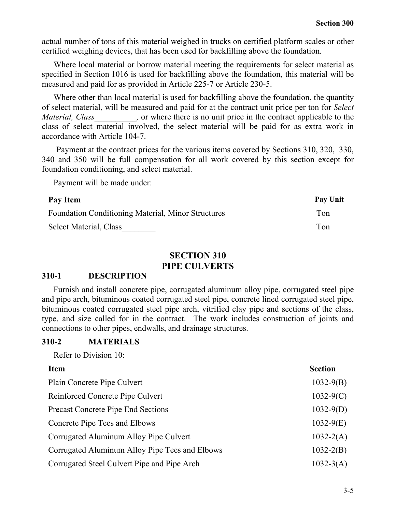actual number of tons of this material weighed in trucks on certified platform scales or other certified weighing devices, that has been used for backfilling above the foundation.

Where local material or borrow material meeting the requirements for select material as specified in Section 1016 is used for backfilling above the foundation, this material will be measured and paid for as provided in Article 225-7 or Article 230-5.

Where other than local material is used for backfilling above the foundation, the quantity of select material, will be measured and paid for at the contract unit price per ton for *Select Material, Class* , or where there is no unit price in the contract applicable to the class of select material involved, the select material will be paid for as extra work in accordance with Article 104-7.

Payment at the contract prices for the various items covered by Sections 310, 320, 330, 340 and 350 will be full compensation for all work covered by this section except for foundation conditioning, and select material.

Payment will be made under:

| Pay Item                                                  | Pay Unit |
|-----------------------------------------------------------|----------|
| <b>Foundation Conditioning Material, Minor Structures</b> | Ton      |
| Select Material, Class                                    | Ton      |

## **SECTION 310 PIPE CULVERTS**

#### **310-1 DESCRIPTION**

Furnish and install concrete pipe, corrugated aluminum alloy pipe, corrugated steel pipe and pipe arch, bituminous coated corrugated steel pipe, concrete lined corrugated steel pipe, bituminous coated corrugated steel pipe arch, vitrified clay pipe and sections of the class, type, and size called for in the contract. The work includes construction of joints and connections to other pipes, endwalls, and drainage structures.

#### **310-2 MATERIALS**

Refer to Division 10:

#### **Item** Section

| Plain Concrete Pipe Culvert                    | $1032 - 9(B)$ |
|------------------------------------------------|---------------|
| Reinforced Concrete Pipe Culvert               | $1032-9(C)$   |
| <b>Precast Concrete Pipe End Sections</b>      | $1032-9(D)$   |
| Concrete Pipe Tees and Elbows                  | $1032-9(E)$   |
| Corrugated Aluminum Alloy Pipe Culvert         | $1032 - 2(A)$ |
| Corrugated Aluminum Alloy Pipe Tees and Elbows | $1032 - 2(B)$ |
| Corrugated Steel Culvert Pipe and Pipe Arch    | $1032 - 3(A)$ |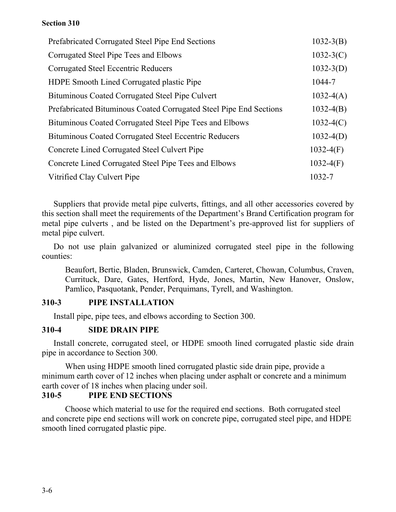| Prefabricated Corrugated Steel Pipe End Sections                   | $1032 - 3(B)$ |
|--------------------------------------------------------------------|---------------|
| Corrugated Steel Pipe Tees and Elbows                              | $1032-3(C)$   |
| <b>Corrugated Steel Eccentric Reducers</b>                         | $1032-3(D)$   |
| <b>HDPE</b> Smooth Lined Corrugated plastic Pipe                   | 1044-7        |
| Bituminous Coated Corrugated Steel Pipe Culvert                    | $1032-4(A)$   |
| Prefabricated Bituminous Coated Corrugated Steel Pipe End Sections | $1032-4(B)$   |
| Bituminous Coated Corrugated Steel Pipe Tees and Elbows            | $1032-4(C)$   |
| Bituminous Coated Corrugated Steel Eccentric Reducers              | $1032-4(D)$   |
| Concrete Lined Corrugated Steel Culvert Pipe                       | $1032-4(F)$   |
| Concrete Lined Corrugated Steel Pipe Tees and Elbows               | $1032-4(F)$   |
| Vitrified Clay Culvert Pipe                                        | 1032-7        |

Suppliers that provide metal pipe culverts, fittings, and all other accessories covered by this section shall meet the requirements of the Department's Brand Certification program for metal pipe culverts , and be listed on the Department's pre-approved list for suppliers of metal pipe culvert.

Do not use plain galvanized or aluminized corrugated steel pipe in the following counties:

Beaufort, Bertie, Bladen, Brunswick, Camden, Carteret, Chowan, Columbus, Craven, Currituck, Dare, Gates, Hertford, Hyde, Jones, Martin, New Hanover, Onslow, Pamlico, Pasquotank, Pender, Perquimans, Tyrell, and Washington.

### **310-3 PIPE INSTALLATION**

Install pipe, pipe tees, and elbows according to Section 300.

### **310-4 SIDE DRAIN PIPE**

Install concrete, corrugated steel, or HDPE smooth lined corrugated plastic side drain pipe in accordance to Section 300.

When using HDPE smooth lined corrugated plastic side drain pipe, provide a minimum earth cover of 12 inches when placing under asphalt or concrete and a minimum earth cover of 18 inches when placing under soil.

### **310-5 PIPE END SECTIONS**

Choose which material to use for the required end sections. Both corrugated steel and concrete pipe end sections will work on concrete pipe, corrugated steel pipe, and HDPE smooth lined corrugated plastic pipe.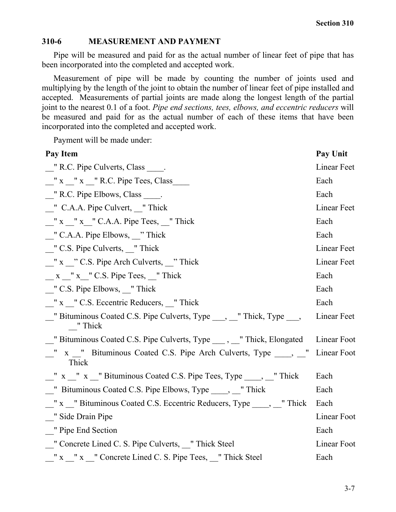#### **310-6 MEASUREMENT AND PAYMENT**

Pipe will be measured and paid for as the actual number of linear feet of pipe that has been incorporated into the completed and accepted work.

Measurement of pipe will be made by counting the number of joints used and multiplying by the length of the joint to obtain the number of linear feet of pipe installed and accepted. Measurements of partial joints are made along the longest length of the partial joint to the nearest 0.1 of a foot. *Pipe end sections, tees, elbows, and eccentric reducers* will be measured and paid for as the actual number of each of these items that have been incorporated into the completed and accepted work.

Payment will be made under:

| Pay Item                                                                           | Pay Unit    |
|------------------------------------------------------------------------------------|-------------|
| " R.C. Pipe Culverts, Class                                                        | Linear Feet |
| $\frac{1}{2}$ x $\frac{1}{2}$ x $\frac{1}{2}$ R.C. Pipe Tees, Class                | Each        |
| " R.C. Pipe Elbows, Class                                                          | Each        |
| " C.A.A. Pipe Culvert, "Thick                                                      | Linear Feet |
| "x "x "C.A.A. Pipe Tees, "Thick"                                                   | Each        |
| $\frac{1}{2}$ C.A.A. Pipe Elbows, $\frac{1}{2}$ Thick                              | Each        |
| " C.S. Pipe Culverts, "Thick                                                       | Linear Feet |
| $\frac{1}{2}$ x $\frac{1}{2}$ C.S. Pipe Arch Culverts, $\frac{1}{2}$ Thick         | Linear Feet |
| $x''$ x $''$ C.S. Pipe Tees, $''$ Thick                                            | Each        |
| " C.S. Pipe Elbows, "Thick"                                                        | Each        |
| "x " C.S. Eccentric Reducers, "Thick                                               | Each        |
| __" Bituminous Coated C.S. Pipe Culverts, Type ___, __" Thick, Type ___,<br>"Thick | Linear Feet |
| __" Bituminous Coated C.S. Pipe Culverts, Type _____, __" Thick, Elongated         | Linear Foot |
| " x " Bituminous Coated C.S. Pipe Arch Culverts, Type _____, _"<br>Thick           | Linear Foot |
| _" x _" x _" Bituminous Coated C.S. Pipe Tees, Type _____, __" Thick               | Each        |
| Bituminous Coated C.S. Pipe Elbows, Type _____, ____" Thick                        | Each        |
| " x " Bituminous Coated C.S. Eccentric Reducers, Type _____, " Thick               | Each        |
| " Side Drain Pipe                                                                  | Linear Foot |
| " Pipe End Section                                                                 | Each        |
| " Concrete Lined C. S. Pipe Culverts, "Thick Steel"                                | Linear Foot |
| " x " x " Concrete Lined C. S. Pipe Tees, " Thick Steel                            | Each        |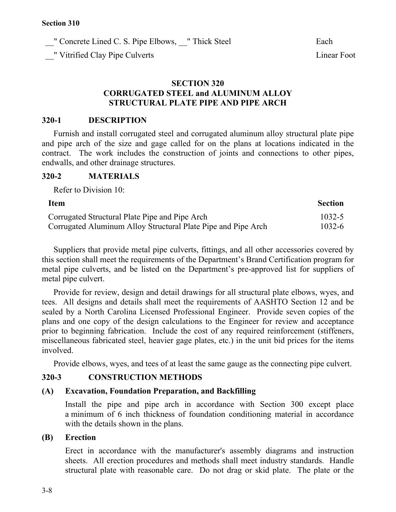" Concrete Lined C. S. Pipe Elbows, \_\_" Thick Steel Each Each

\_\_" Vitrified Clay Pipe Culverts Linear Foot

### **SECTION 320 CORRUGATED STEEL and ALUMINUM ALLOY STRUCTURAL PLATE PIPE AND PIPE ARCH**

#### **320-1 DESCRIPTION**

Furnish and install corrugated steel and corrugated aluminum alloy structural plate pipe and pipe arch of the size and gage called for on the plans at locations indicated in the contract. The work includes the construction of joints and connections to other pipes, endwalls, and other drainage structures.

#### **320-2 MATERIALS**

Refer to Division 10:

| <b>Item</b>                                                   | <b>Section</b> |
|---------------------------------------------------------------|----------------|
| Corrugated Structural Plate Pipe and Pipe Arch                | 1032-5         |
| Corrugated Aluminum Alloy Structural Plate Pipe and Pipe Arch | 1032-6         |

Suppliers that provide metal pipe culverts, fittings, and all other accessories covered by this section shall meet the requirements of the Department's Brand Certification program for metal pipe culverts, and be listed on the Department's pre-approved list for suppliers of metal pipe culvert.

Provide for review, design and detail drawings for all structural plate elbows, wyes, and tees. All designs and details shall meet the requirements of AASHTO Section 12 and be sealed by a North Carolina Licensed Professional Engineer. Provide seven copies of the plans and one copy of the design calculations to the Engineer for review and acceptance prior to beginning fabrication. Include the cost of any required reinforcement (stiffeners, miscellaneous fabricated steel, heavier gage plates, etc.) in the unit bid prices for the items involved.

Provide elbows, wyes, and tees of at least the same gauge as the connecting pipe culvert.

### **320-3 CONSTRUCTION METHODS**

### **(A) Excavation, Foundation Preparation, and Backfilling**

Install the pipe and pipe arch in accordance with Section 300 except place a minimum of 6 inch thickness of foundation conditioning material in accordance with the details shown in the plans.

#### **(B) Erection**

Erect in accordance with the manufacturer's assembly diagrams and instruction sheets. All erection procedures and methods shall meet industry standards. Handle structural plate with reasonable care. Do not drag or skid plate. The plate or the

3-8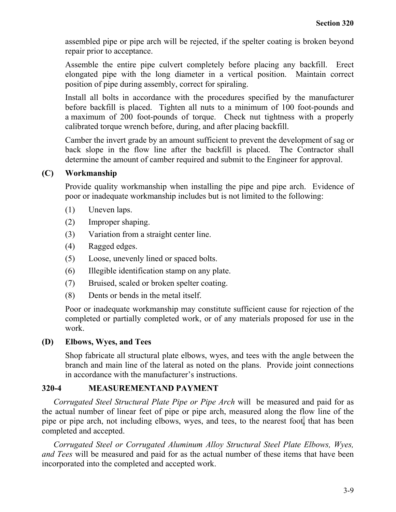assembled pipe or pipe arch will be rejected, if the spelter coating is broken beyond repair prior to acceptance.

Assemble the entire pipe culvert completely before placing any backfill. Erect elongated pipe with the long diameter in a vertical position. Maintain correct position of pipe during assembly, correct for spiraling.

Install all bolts in accordance with the procedures specified by the manufacturer before backfill is placed. Tighten all nuts to a minimum of 100 foot-pounds and a maximum of 200 foot-pounds of torque. Check nut tightness with a properly calibrated torque wrench before, during, and after placing backfill.

Camber the invert grade by an amount sufficient to prevent the development of sag or back slope in the flow line after the backfill is placed. The Contractor shall determine the amount of camber required and submit to the Engineer for approval.

### **(C) Workmanship**

Provide quality workmanship when installing the pipe and pipe arch. Evidence of poor or inadequate workmanship includes but is not limited to the following:

- (1) Uneven laps.
- (2) Improper shaping.
- (3) Variation from a straight center line.
- (4) Ragged edges.
- (5) Loose, unevenly lined or spaced bolts.
- (6) Illegible identification stamp on any plate.
- (7) Bruised, scaled or broken spelter coating.
- (8) Dents or bends in the metal itself.

Poor or inadequate workmanship may constitute sufficient cause for rejection of the completed or partially completed work, or of any materials proposed for use in the work.

### **(D) Elbows, Wyes, and Tees**

Shop fabricate all structural plate elbows, wyes, and tees with the angle between the branch and main line of the lateral as noted on the plans. Provide joint connections in accordance with the manufacturer's instructions.

### **320-4 MEASUREMENTAND PAYMENT**

*Corrugated Steel Structural Plate Pipe or Pipe Arch* will be measured and paid for as the actual number of linear feet of pipe or pipe arch, measured along the flow line of the pipe or pipe arch, not including elbows, wyes, and tees, to the nearest foot, that has been completed and accepted.

*Corrugated Steel or Corrugated Aluminum Alloy Structural Steel Plate Elbows, Wyes, and Tees* will be measured and paid for as the actual number of these items that have been incorporated into the completed and accepted work.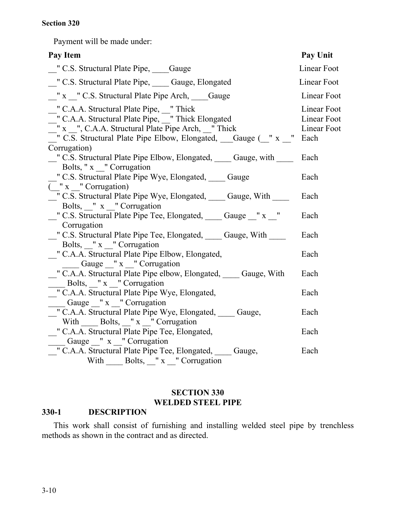Payment will be made under:

| Pay Item                                                                                                                                                                                                                                                                                                                                                                                                                                                                                                                                                                                                                                                                                   | <b>Pay Unit</b>                                   |
|--------------------------------------------------------------------------------------------------------------------------------------------------------------------------------------------------------------------------------------------------------------------------------------------------------------------------------------------------------------------------------------------------------------------------------------------------------------------------------------------------------------------------------------------------------------------------------------------------------------------------------------------------------------------------------------------|---------------------------------------------------|
| " C.S. Structural Plate Pipe, ____Gauge                                                                                                                                                                                                                                                                                                                                                                                                                                                                                                                                                                                                                                                    | Linear Foot                                       |
| _" C.S. Structural Plate Pipe, ____ Gauge, Elongated                                                                                                                                                                                                                                                                                                                                                                                                                                                                                                                                                                                                                                       | Linear Foot                                       |
| "x " C.S. Structural Plate Pipe Arch, Gauge                                                                                                                                                                                                                                                                                                                                                                                                                                                                                                                                                                                                                                                | <b>Linear Foot</b>                                |
| " C.A.A. Structural Plate Pipe, "Thick<br>_" C.A.A. Structural Plate Pipe, _" Thick Elongated<br>$\frac{1}{2}$ x $\frac{1}{2}$ , C.A.A. Structural Plate Pipe Arch, $\frac{1}{2}$ Thick<br>$\overline{\phantom{a}}$ $\overline{\phantom{a}}$ $\overline{\phantom{a}}$ $\overline{\phantom{a}}$ $\overline{\phantom{a}}$ $\overline{\phantom{a}}$ $\overline{\phantom{a}}$ $\overline{\phantom{a}}$ $\overline{\phantom{a}}$ $\overline{\phantom{a}}$ $\overline{\phantom{a}}$ $\overline{\phantom{a}}$ $\overline{\phantom{a}}$ $\overline{\phantom{a}}$ $\overline{\phantom{a}}$ $\overline{\phantom{a}}$ $\overline{\phantom{a}}$ $\overline{\phantom{a}}$ $\overline{\$<br>Corrugation) | Linear Foot<br>Linear Foot<br>Linear Foot<br>Each |
| " C.S. Structural Plate Pipe Elbow, Elongated, Cauge, with C.S. Structural Plate Pipe Elbow, Elongated, Cauge, with                                                                                                                                                                                                                                                                                                                                                                                                                                                                                                                                                                        | Each                                              |
| Bolts, "x "Corrugation<br>" C.S. Structural Plate Pipe Wye, Elongated, Gauge                                                                                                                                                                                                                                                                                                                                                                                                                                                                                                                                                                                                               | Each                                              |
| ("x "Corrugation)<br>" C.S. Structural Plate Pipe Wye, Elongated, Cauge, With                                                                                                                                                                                                                                                                                                                                                                                                                                                                                                                                                                                                              | Each                                              |
| Bolts, "x "Corrugation<br>_" C.S. Structural Plate Pipe Tee, Elongated, ____ Gauge _" x _"<br>Corrugation                                                                                                                                                                                                                                                                                                                                                                                                                                                                                                                                                                                  | Each                                              |
| " C.S. Structural Plate Pipe Tee, Elongated, Gauge, With<br>Bolts, "x " Corrugation                                                                                                                                                                                                                                                                                                                                                                                                                                                                                                                                                                                                        | Each                                              |
| " C.A.A. Structural Plate Pipe Elbow, Elongated,<br>$\frac{1}{\sqrt{2}}$ Gauge $\frac{1}{\sqrt{2}}$ x $\frac{1}{\sqrt{2}}$ Corrugation                                                                                                                                                                                                                                                                                                                                                                                                                                                                                                                                                     | Each                                              |
| " C.A.A. Structural Plate Pipe elbow, Elongated, Gauge, With<br>$\frac{1}{2}$ Bolts, "x " Corrugation                                                                                                                                                                                                                                                                                                                                                                                                                                                                                                                                                                                      | Each                                              |
| " C.A.A. Structural Plate Pipe Wye, Elongated,<br>Gauge _" x _" Corrugation                                                                                                                                                                                                                                                                                                                                                                                                                                                                                                                                                                                                                | Each                                              |
| " C.A.A. Structural Plate Pipe Wye, Elongated, Cauge,<br>With Bolts, "x "Corrugation                                                                                                                                                                                                                                                                                                                                                                                                                                                                                                                                                                                                       | Each                                              |
| " C.A.A. Structural Plate Pipe Tee, Elongated,                                                                                                                                                                                                                                                                                                                                                                                                                                                                                                                                                                                                                                             | Each                                              |
| Gauge " x " Corrugation<br>_" C.A.A. Structural Plate Pipe Tee, Elongated, ____ Gauge,<br>With $\_\_\_$ Bolts, $\_\_$ " x $\_\_$ " Corrugation                                                                                                                                                                                                                                                                                                                                                                                                                                                                                                                                             | Each                                              |

## **SECTION 330 WELDED STEEL PIPE**

### **330-1 DESCRIPTION**

This work shall consist of furnishing and installing welded steel pipe by trenchless methods as shown in the contract and as directed.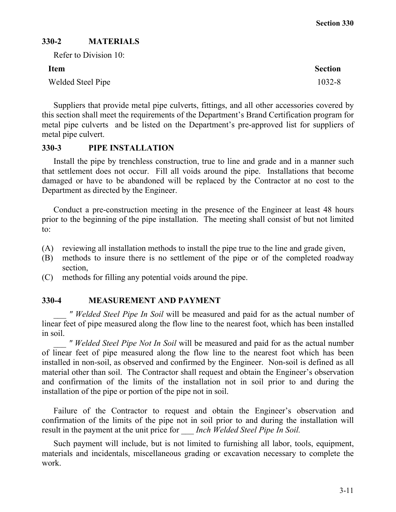## **330-2 MATERIALS**

| Refer to Division 10: |                |
|-----------------------|----------------|
| <b>Item</b>           | <b>Section</b> |
| Welded Steel Pipe     | $1032 - 8$     |

Suppliers that provide metal pipe culverts, fittings, and all other accessories covered by this section shall meet the requirements of the Department's Brand Certification program for metal pipe culverts and be listed on the Department's pre-approved list for suppliers of metal pipe culvert.

### **330-3 PIPE INSTALLATION**

Install the pipe by trenchless construction, true to line and grade and in a manner such that settlement does not occur. Fill all voids around the pipe. Installations that become damaged or have to be abandoned will be replaced by the Contractor at no cost to the Department as directed by the Engineer.

Conduct a pre-construction meeting in the presence of the Engineer at least 48 hours prior to the beginning of the pipe installation. The meeting shall consist of but not limited to:

- (A) reviewing all installation methods to install the pipe true to the line and grade given,
- (B) methods to insure there is no settlement of the pipe or of the completed roadway section,
- (C) methods for filling any potential voids around the pipe.

#### **330-4 MEASUREMENT AND PAYMENT**

*\_\_\_ " Welded Steel Pipe In Soil* will be measured and paid for as the actual number of linear feet of pipe measured along the flow line to the nearest foot, which has been installed in soil.

*\_\_\_ " Welded Steel Pipe Not In Soil* will be measured and paid for as the actual number of linear feet of pipe measured along the flow line to the nearest foot which has been installed in non-soil, as observed and confirmed by the Engineer. Non-soil is defined as all material other than soil. The Contractor shall request and obtain the Engineer's observation and confirmation of the limits of the installation not in soil prior to and during the installation of the pipe or portion of the pipe not in soil.

Failure of the Contractor to request and obtain the Engineer's observation and confirmation of the limits of the pipe not in soil prior to and during the installation will result in the payment at the unit price for *Inch Welded Steel Pipe In Soil.* 

Such payment will include, but is not limited to furnishing all labor, tools, equipment, materials and incidentals, miscellaneous grading or excavation necessary to complete the work.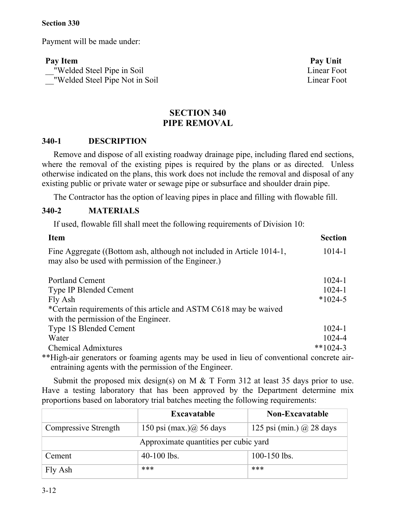Payment will be made under:

**Pay Item Pay Unit** \_\_"Welded Steel Pipe in Soil Linear Foot \_\_"Welded Steel Pipe Not in Soil Linear Foot

## **SECTION 340 PIPE REMOVAL**

#### **340-1 DESCRIPTION**

Remove and dispose of all existing roadway drainage pipe, including flared end sections, where the removal of the existing pipes is required by the plans or as directed. Unless otherwise indicated on the plans, this work does not include the removal and disposal of any existing public or private water or sewage pipe or subsurface and shoulder drain pipe.

The Contractor has the option of leaving pipes in place and filling with flowable fill.

### **340-2 MATERIALS**

If used, flowable fill shall meet the following requirements of Division 10:

| <b>Item</b>                                                                                                                 | <b>Section</b> |
|-----------------------------------------------------------------------------------------------------------------------------|----------------|
| Fine Aggregate ((Bottom ash, although not included in Article 1014-1,<br>may also be used with permission of the Engineer.) | 1014-1         |
| <b>Portland Cement</b>                                                                                                      | $1024 - 1$     |
| <b>Type IP Blended Cement</b>                                                                                               | $1024 - 1$     |
| Fly Ash                                                                                                                     | $*1024-5$      |
| *Certain requirements of this article and ASTM C618 may be waived                                                           |                |
| with the permission of the Engineer.                                                                                        |                |
| <b>Type 1S Blended Cement</b>                                                                                               | $1024 - 1$     |
| Water                                                                                                                       | 1024-4         |
| <b>Chemical Admixtures</b>                                                                                                  | **1024-3       |

\*\*High-air generators or foaming agents may be used in lieu of conventional concrete airentraining agents with the permission of the Engineer.

Submit the proposed mix design(s) on M  $&$  T Form 312 at least 35 days prior to use. Have a testing laboratory that has been approved by the Department determine mix proportions based on laboratory trial batches meeting the following requirements:

|                                       | <b>Excavatable</b>        | <b>Non-Excavatable</b>       |
|---------------------------------------|---------------------------|------------------------------|
| Compressive Strength                  | 150 psi $(max.)@$ 56 days | 125 psi (min.) $(a)$ 28 days |
| Approximate quantities per cubic yard |                           |                              |
| Cement                                | $40-100$ lbs.             | $100 - 150$ lbs.             |
| Fly Ash                               | ***                       | ***                          |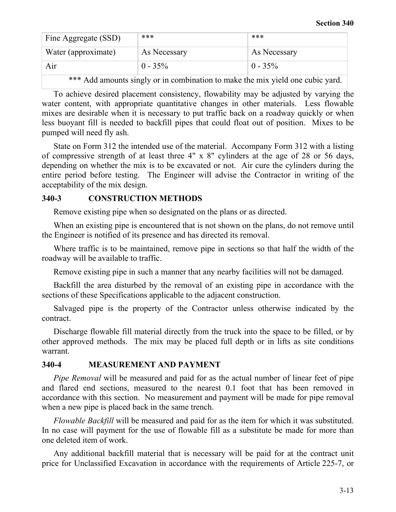| Fine Aggregate (SSD)                                                           | ***          | ***          |
|--------------------------------------------------------------------------------|--------------|--------------|
| Water (approximate)                                                            | As Necessary | As Necessary |
| Air                                                                            | $0 - 35\%$   | $0 - 35\%$   |
| *** Add amounts singly or in combination to make the mix yield one cubic yard. |              |              |

To achieve desired placement consistency, flowability may be adjusted by varying the water content, with appropriate quantitative changes in other materials. Less flowable mixes are desirable when it is necessary to put traffic back on a roadway quickly or when less buoyant fill is needed to backfill pipes that could float out of position. Mixes to be

pumped will need fly ash.

State on Form 312 the intended use of the material. Accompany Form 312 with a listing of compressive strength of at least three 4" x 8" cylinders at the age of 28 or 56 days, depending on whether the mix is to be excavated or not. Air cure the cylinders during the entire period before testing. The Engineer will advise the Contractor in writing of the acceptability of the mix design.

### **340-3 CONSTRUCTION METHODS**

Remove existing pipe when so designated on the plans or as directed.

When an existing pipe is encountered that is not shown on the plans, do not remove until the Engineer is notified of its presence and has directed its removal.

Where traffic is to be maintained, remove pipe in sections so that half the width of the roadway will be available to traffic.

Remove existing pipe in such a manner that any nearby facilities will not be damaged.

Backfill the area disturbed by the removal of an existing pipe in accordance with the sections of these Specifications applicable to the adjacent construction.

Salvaged pipe is the property of the Contractor unless otherwise indicated by the contract.

Discharge flowable fill material directly from the truck into the space to be filled, or by other approved methods. The mix may be placed full depth or in lifts as site conditions warrant.

## **340-4 MEASUREMENT AND PAYMENT**

*Pipe Removal* will be measured and paid for as the actual number of linear feet of pipe and flared end sections, measured to the nearest 0.1 foot that has been removed in accordance with this section. No measurement and payment will be made for pipe removal when a new pipe is placed back in the same trench.

*Flowable Backfill* will be measured and paid for as the item for which it was substituted. In no case will payment for the use of flowable fill as a substitute be made for more than one deleted item of work.

Any additional backfill material that is necessary will be paid for at the contract unit price for Unclassified Excavation in accordance with the requirements of Article 225-7, or